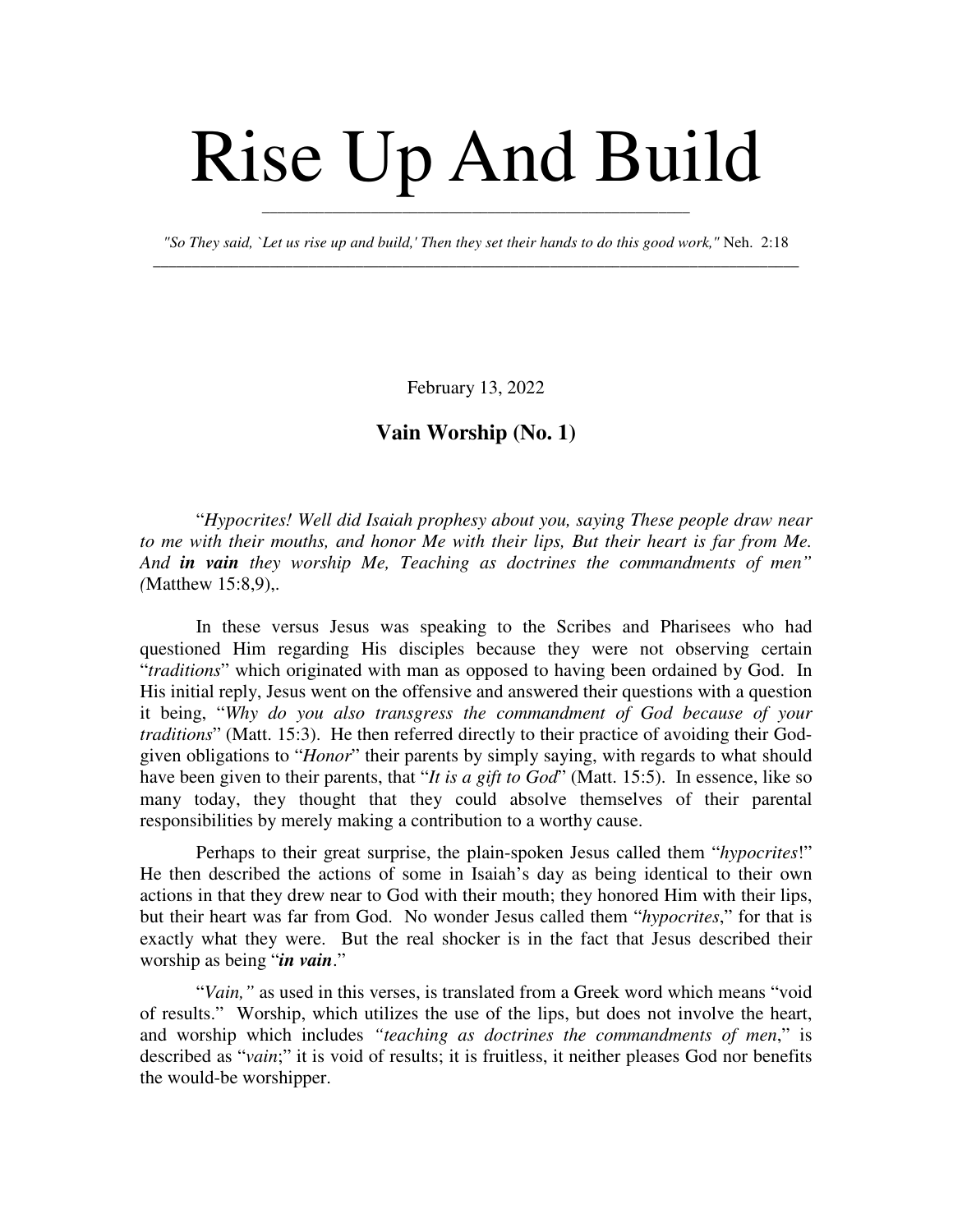## Rise Up And Build

*"So They said, `Let us rise up and build,' Then they set their hands to do this good work,"* Neh. 2:18 \_\_\_\_\_\_\_\_\_\_\_\_\_\_\_\_\_\_\_\_\_\_\_\_\_\_\_\_\_\_\_\_\_\_\_\_\_\_\_\_\_\_\_\_\_\_\_\_\_\_\_\_\_\_\_\_\_\_\_\_\_\_\_\_\_\_\_\_\_\_\_\_\_\_\_\_\_\_\_\_\_\_\_

\_\_\_\_\_\_\_\_\_\_\_\_\_\_\_\_\_\_\_\_\_\_\_\_\_\_\_\_\_\_\_\_\_\_\_\_\_\_\_\_\_\_\_\_\_\_\_\_\_\_\_\_\_\_\_

February 13, 2022

## **Vain Worship (No. 1)**

"*Hypocrites! Well did Isaiah prophesy about you, saying These people draw near to me with their mouths, and honor Me with their lips, But their heart is far from Me. And in vain they worship Me, Teaching as doctrines the commandments of men" (*Matthew 15:8,9),.

In these versus Jesus was speaking to the Scribes and Pharisees who had questioned Him regarding His disciples because they were not observing certain "*traditions*" which originated with man as opposed to having been ordained by God. In His initial reply, Jesus went on the offensive and answered their questions with a question it being, "*Why do you also transgress the commandment of God because of your traditions*" (Matt. 15:3). He then referred directly to their practice of avoiding their Godgiven obligations to "*Honor*" their parents by simply saying, with regards to what should have been given to their parents, that "*It is a gift to God*" (Matt. 15:5). In essence, like so many today, they thought that they could absolve themselves of their parental responsibilities by merely making a contribution to a worthy cause.

Perhaps to their great surprise, the plain-spoken Jesus called them "*hypocrites*!" He then described the actions of some in Isaiah's day as being identical to their own actions in that they drew near to God with their mouth; they honored Him with their lips, but their heart was far from God. No wonder Jesus called them "*hypocrites*," for that is exactly what they were. But the real shocker is in the fact that Jesus described their worship as being "*in vain*."

"*Vain,"* as used in this verses, is translated from a Greek word which means "void of results." Worship, which utilizes the use of the lips, but does not involve the heart, and worship which includes *"teaching as doctrines the commandments of men*," is described as "*vain*;" it is void of results; it is fruitless, it neither pleases God nor benefits the would-be worshipper.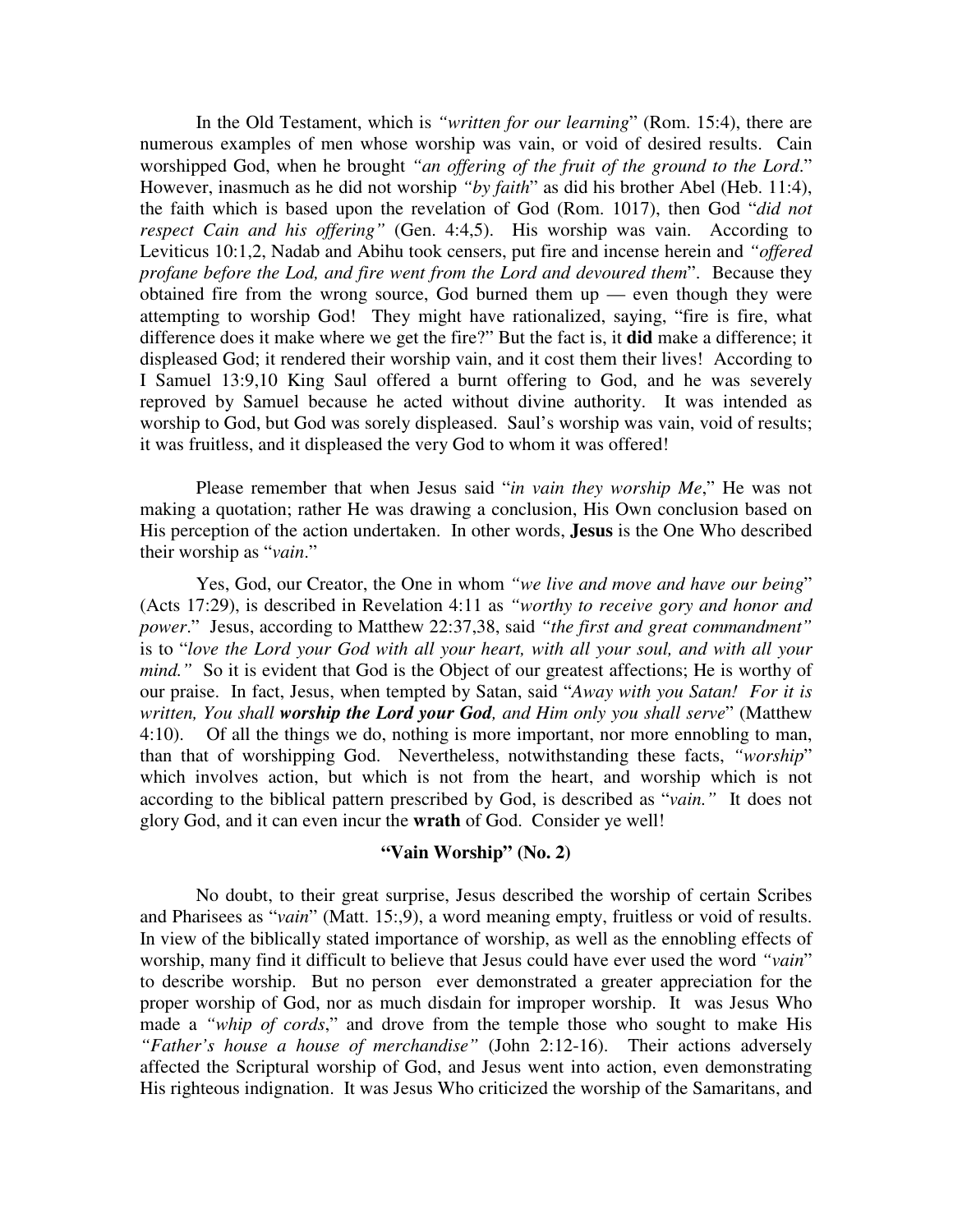In the Old Testament, which is *"written for our learning*" (Rom. 15:4), there are numerous examples of men whose worship was vain, or void of desired results. Cain worshipped God, when he brought *"an offering of the fruit of the ground to the Lord*." However, inasmuch as he did not worship *"by faith*" as did his brother Abel (Heb. 11:4), the faith which is based upon the revelation of God (Rom. 1017), then God "*did not respect Cain and his offering"* (Gen. 4:4,5). His worship was vain. According to Leviticus 10:1,2, Nadab and Abihu took censers, put fire and incense herein and *"offered profane before the Lod, and fire went from the Lord and devoured them*". Because they obtained fire from the wrong source, God burned them  $up$  — even though they were attempting to worship God! They might have rationalized, saying, "fire is fire, what difference does it make where we get the fire?" But the fact is, it **did** make a difference; it displeased God; it rendered their worship vain, and it cost them their lives! According to I Samuel 13:9,10 King Saul offered a burnt offering to God, and he was severely reproved by Samuel because he acted without divine authority. It was intended as worship to God, but God was sorely displeased. Saul's worship was vain, void of results; it was fruitless, and it displeased the very God to whom it was offered!

Please remember that when Jesus said "*in vain they worship Me*," He was not making a quotation; rather He was drawing a conclusion, His Own conclusion based on His perception of the action undertaken. In other words, **Jesus** is the One Who described their worship as "*vain*."

Yes, God, our Creator, the One in whom *"we live and move and have our being*" (Acts 17:29), is described in Revelation 4:11 as *"worthy to receive gory and honor and power*." Jesus, according to Matthew 22:37,38, said *"the first and great commandment"* is to "*love the Lord your God with all your heart, with all your soul, and with all your mind."* So it is evident that God is the Object of our greatest affections; He is worthy of our praise. In fact, Jesus, when tempted by Satan, said "*Away with you Satan! For it is written, You shall worship the Lord your God, and Him only you shall serve*" (Matthew 4:10). Of all the things we do, nothing is more important, nor more ennobling to man, than that of worshipping God. Nevertheless, notwithstanding these facts, *"worship*" which involves action, but which is not from the heart, and worship which is not according to the biblical pattern prescribed by God, is described as "*vain."* It does not glory God, and it can even incur the **wrath** of God. Consider ye well!

## **"Vain Worship" (No. 2)**

No doubt, to their great surprise, Jesus described the worship of certain Scribes and Pharisees as "*vain*" (Matt. 15:,9), a word meaning empty, fruitless or void of results. In view of the biblically stated importance of worship, as well as the ennobling effects of worship, many find it difficult to believe that Jesus could have ever used the word *"vain*" to describe worship. But no person ever demonstrated a greater appreciation for the proper worship of God, nor as much disdain for improper worship. It was Jesus Who made a *"whip of cords*," and drove from the temple those who sought to make His *"Father's house a house of merchandise"* (John 2:12-16). Their actions adversely affected the Scriptural worship of God, and Jesus went into action, even demonstrating His righteous indignation. It was Jesus Who criticized the worship of the Samaritans, and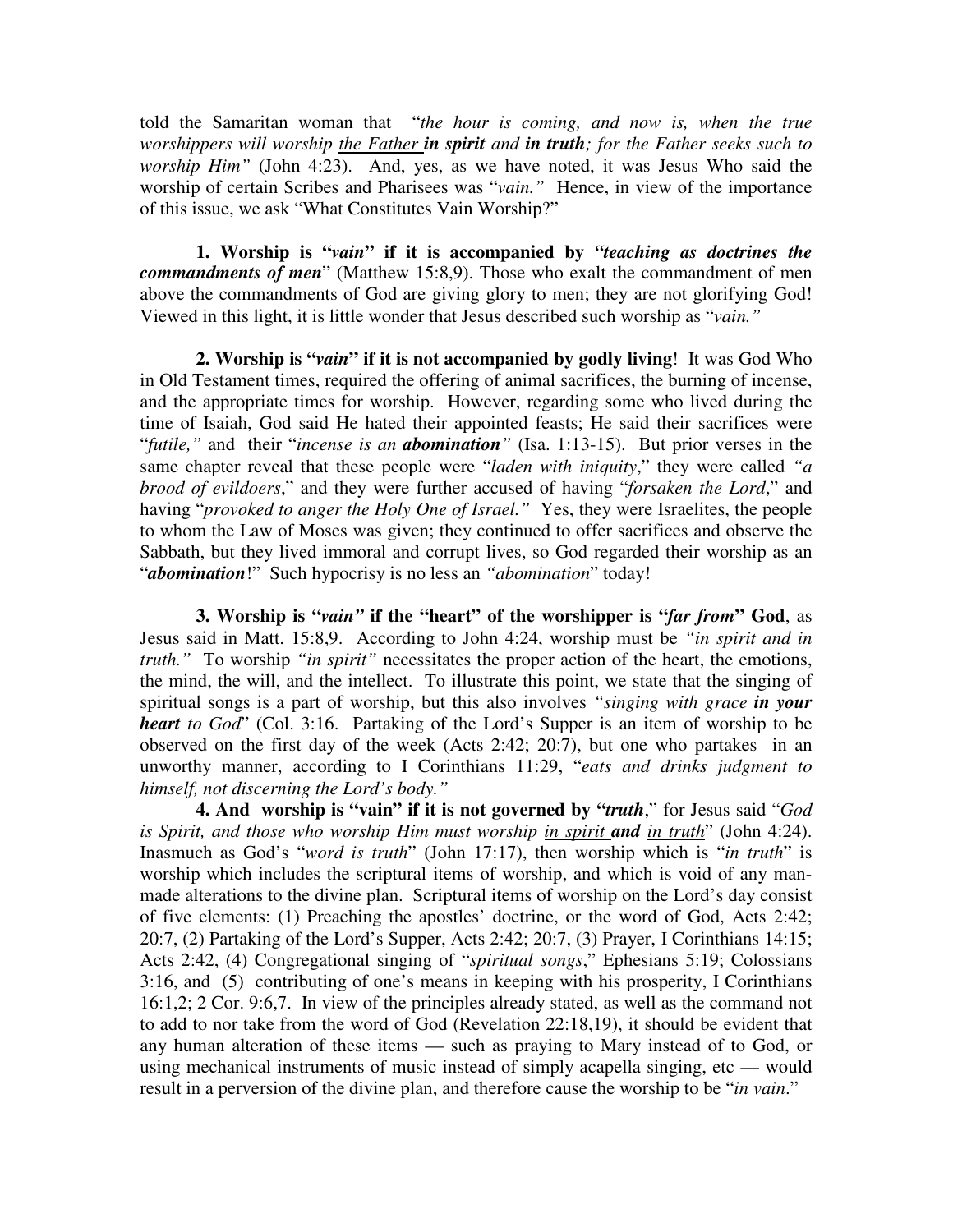told the Samaritan woman that "*the hour is coming, and now is, when the true worshippers will worship the Father in spirit and in truth; for the Father seeks such to worship Him"* (John 4:23). And, yes, as we have noted, it was Jesus Who said the worship of certain Scribes and Pharisees was "*vain."* Hence, in view of the importance of this issue, we ask "What Constitutes Vain Worship?"

**1. Worship is "***vain***" if it is accompanied by** *"teaching as doctrines the commandments of men*" (Matthew 15:8,9). Those who exalt the commandment of men above the commandments of God are giving glory to men; they are not glorifying God! Viewed in this light, it is little wonder that Jesus described such worship as "*vain."*

**2. Worship is "***vain***" if it is not accompanied by godly living**! It was God Who in Old Testament times, required the offering of animal sacrifices, the burning of incense, and the appropriate times for worship. However, regarding some who lived during the time of Isaiah, God said He hated their appointed feasts; He said their sacrifices were "*futile,"* and their "*incense is an abomination"* (Isa. 1:13-15). But prior verses in the same chapter reveal that these people were "*laden with iniquity*," they were called *"a brood of evildoers*," and they were further accused of having "*forsaken the Lord*," and having "*provoked to anger the Holy One of Israel."* Yes, they were Israelites, the people to whom the Law of Moses was given; they continued to offer sacrifices and observe the Sabbath, but they lived immoral and corrupt lives, so God regarded their worship as an "*abomination*!" Such hypocrisy is no less an *"abomination*" today!

**3. Worship is "***vain"* **if the "heart" of the worshipper is "***far from***" God**, as Jesus said in Matt. 15:8,9. According to John 4:24, worship must be *"in spirit and in truth."* To worship *"in spirit"* necessitates the proper action of the heart, the emotions, the mind, the will, and the intellect. To illustrate this point, we state that the singing of spiritual songs is a part of worship, but this also involves *"singing with grace in your heart to God*" (Col. 3:16. Partaking of the Lord's Supper is an item of worship to be observed on the first day of the week (Acts 2:42; 20:7), but one who partakes in an unworthy manner, according to I Corinthians 11:29, "*eats and drinks judgment to himself, not discerning the Lord's body."*

**4. And worship is "vain" if it is not governed by "***truth*," for Jesus said "*God is Spirit, and those who worship Him must worship in spirit and in truth*" (John 4:24). Inasmuch as God's "*word is truth*" (John 17:17), then worship which is "*in truth*" is worship which includes the scriptural items of worship, and which is void of any manmade alterations to the divine plan. Scriptural items of worship on the Lord's day consist of five elements: (1) Preaching the apostles' doctrine, or the word of God, Acts 2:42; 20:7, (2) Partaking of the Lord's Supper, Acts 2:42; 20:7, (3) Prayer, I Corinthians 14:15; Acts 2:42, (4) Congregational singing of "*spiritual songs*," Ephesians 5:19; Colossians 3:16, and (5) contributing of one's means in keeping with his prosperity, I Corinthians 16:1,2; 2 Cor. 9:6,7. In view of the principles already stated, as well as the command not to add to nor take from the word of God (Revelation 22:18,19), it should be evident that any human alteration of these items — such as praying to Mary instead of to God, or using mechanical instruments of music instead of simply acapella singing, etc — would result in a perversion of the divine plan, and therefore cause the worship to be "*in vain*."